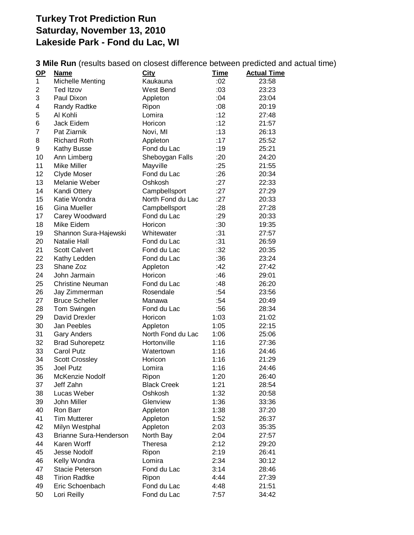## **Turkey Trot Prediction Run Saturday, November 13, 2010 Lakeside Park - Fond du Lac, WI**

**3 Mile Run** (results based on closest difference between predicted and actual time)

| $\mathbf{Q}$   | <b>Name</b>             | <b>City</b>        | <b>Time</b> | <b>Actual Time</b> |
|----------------|-------------------------|--------------------|-------------|--------------------|
| 1              | <b>Michelle Menting</b> | Kaukauna           | :02         | 23:58              |
| 2              | <b>Ted Itzov</b>        | West Bend          | :03         | 23:23              |
| 3              | Paul Dixon              | Appleton           | :04         | 23:04              |
| 4              | Randy Radtke            | Ripon              | :08         | 20:19              |
| 5              | Al Kohli                | Lomira             | :12         | 27:48              |
| 6              | Jack Eidem              | Horicon            | :12         | 21:57              |
| $\overline{7}$ | Pat Ziarnik             | Novi, MI           | :13         | 26:13              |
| 8              | <b>Richard Roth</b>     | Appleton           | :17         | 25:52              |
| 9              | Kathy Busse             | Fond du Lac        | :19         | 25:21              |
| 10             | Ann Limberg             | Sheboygan Falls    | :20         | 24:20              |
| 11             | Mike Miller             | Mayville           | :25         | 21:55              |
| 12             | Clyde Moser             | Fond du Lac        | :26         | 20:34              |
| 13             | Melanie Weber           | Oshkosh            | :27         | 22:33              |
| 14             | Kandi Ottery            | Campbellsport      | :27         | 27:29              |
| 15             | Katie Wondra            | North Fond du Lac  | :27         | 20:33              |
| 16             | <b>Gina Mueller</b>     | Campbellsport      | : 28        | 27:28              |
| 17             | Carey Woodward          | Fond du Lac        | :29         | 20:33              |
| 18             | Mike Eidem              | Horicon            | :30         | 19:35              |
| 19             | Shannon Sura-Hajewski   | Whitewater         | :31         | 27:57              |
| 20             | Natalie Hall            | Fond du Lac        | :31         | 26:59              |
| 21             | <b>Scott Calvert</b>    | Fond du Lac        | :32         | 20:35              |
| 22             | Kathy Ledden            | Fond du Lac        | :36         | 23:24              |
| 23             | Shane Zoz               | Appleton           | :42         | 27:42              |
| 24             | John Jarmain            | Horicon            | :46         | 29:01              |
| 25             | <b>Christine Neuman</b> | Fond du Lac        | :48         | 26:20              |
| 26             | Jay Zimmerman           | Rosendale          | :54         | 23:56              |
| 27             | <b>Bruce Scheller</b>   | Manawa             | :54         | 20:49              |
| 28             | Tom Swingen             | Fond du Lac        | :56         | 28:34              |
| 29             | David Drexler           | Horicon            | 1:03        | 21:02              |
| 30             | Jan Peebles             | Appleton           | 1:05        | 22:15              |
| 31             | <b>Gary Anders</b>      | North Fond du Lac  | 1:06        | 25:06              |
| 32             | <b>Brad Suhorepetz</b>  | Hortonville        | 1:16        | 27:36              |
| 33             | <b>Carol Putz</b>       | Watertown          | 1:16        | 24:46              |
| 34             | <b>Scott Crossley</b>   | Horicon            | 1:16        | 21:29              |
| 35             | <b>Joel Putz</b>        | Lomira             | 1:16        | 24:46              |
| 36             | McKenzie Nodolf         | Ripon              | 1:20        | 26:40              |
| 37             | Jeff Zahn               | <b>Black Creek</b> | 1:21        | 28:54              |
| 38             | Lucas Weber             | Oshkosh            | 1:32        | 20:58              |
| 39             | John Miller             | Glenview           | 1:36        | 33:36              |
| 40             | Ron Barr                | Appleton           | 1:38        | 37:20              |
| 41             | <b>Tim Mutterer</b>     | Appleton           | 1:52        | 26:37              |
| 42             | Milyn Westphal          | Appleton           | 2:03        | 35:35              |
| 43             | Brianne Sura-Henderson  | North Bay          | 2:04        | 27:57              |
| 44             | Karen Worff             | Theresa            | 2:12        | 29:20              |
| 45             | <b>Jesse Nodolf</b>     | Ripon              | 2:19        | 26:41              |
| 46             | Kelly Wondra            | Lomira             | 2:34        | 30:12              |
| 47             | <b>Stacie Peterson</b>  | Fond du Lac        | 3:14        | 28:46              |
| 48             | <b>Tirion Radtke</b>    | Ripon              | 4:44        | 27:39              |
| 49             | Eric Schoenbach         | Fond du Lac        | 4:48        | 21:51              |
| 50             | Lori Reilly             | Fond du Lac        | 7:57        | 34:42              |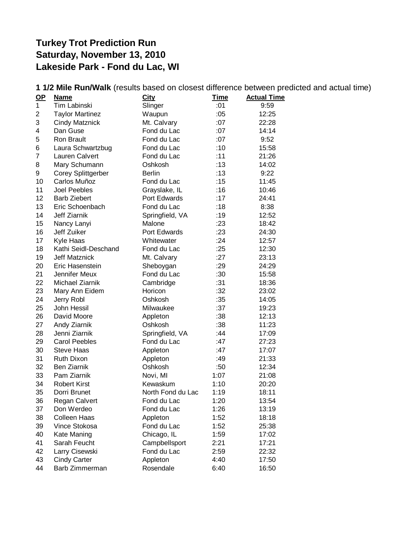## **Turkey Trot Prediction Run Saturday, November 13, 2010 Lakeside Park - Fond du Lac, WI**

| 1 1/2 Mile Run/Walk (results based on closest difference between predicted and actual time) |                        |                   |             |                    |  |  |  |  |
|---------------------------------------------------------------------------------------------|------------------------|-------------------|-------------|--------------------|--|--|--|--|
| $OP$                                                                                        | <b>Name</b>            | <b>City</b>       | <b>Time</b> | <b>Actual Time</b> |  |  |  |  |
| 1                                                                                           | Tim Labinski           | Slinger           | :01         | 9:59               |  |  |  |  |
| $\overline{2}$                                                                              | <b>Taylor Martinez</b> | Waupun            | :05         | 12:25              |  |  |  |  |
| 3                                                                                           | <b>Cindy Matznick</b>  | Mt. Calvary       | :07         | 22:28              |  |  |  |  |
| 4                                                                                           | Dan Guse               | Fond du Lac       | :07         | 14:14              |  |  |  |  |
| 5                                                                                           | Ron Brault             | Fond du Lac       | :07         | 9:52               |  |  |  |  |
| 6                                                                                           | Laura Schwartzbug      | Fond du Lac       | :10         | 15:58              |  |  |  |  |
| 7                                                                                           | Lauren Calvert         | Fond du Lac       | :11         | 21:26              |  |  |  |  |
| 8                                                                                           | Mary Schumann          | Oshkosh           | :13         | 14:02              |  |  |  |  |
| 9                                                                                           | Corey Splittgerber     | <b>Berlin</b>     | :13         | 9:22               |  |  |  |  |
| 10                                                                                          | Carlos Muñoz           | Fond du Lac       | :15         | 11:45              |  |  |  |  |
| 11                                                                                          | <b>Joel Peebles</b>    | Grayslake, IL     | :16         | 10:46              |  |  |  |  |
| 12                                                                                          | <b>Barb Ziebert</b>    | Port Edwards      | :17         | 24:41              |  |  |  |  |
| 13                                                                                          | Eric Schoenbach        | Fond du Lac       | :18         | 8:38               |  |  |  |  |
| 14                                                                                          | Jeff Ziarnik           | Springfield, VA   | :19         | 12:52              |  |  |  |  |
| 15                                                                                          | Nancy Lanyi            | Malone            | : 23        | 18:42              |  |  |  |  |
| 16                                                                                          | Jeff Zuiker            | Port Edwards      | :23         | 24:30              |  |  |  |  |
| 17                                                                                          | Kyle Haas              | Whitewater        | :24         | 12:57              |  |  |  |  |
| 18                                                                                          | Kathi Seidl-Deschand   | Fond du Lac       | :25         | 12:30              |  |  |  |  |
| 19                                                                                          | <b>Jeff Matznick</b>   | Mt. Calvary       | :27         | 23:13              |  |  |  |  |
| 20                                                                                          | Eric Hasenstein        | Sheboygan         | :29         | 24:29              |  |  |  |  |
| 21                                                                                          | Jennifer Meux          | Fond du Lac       | :30         | 15:58              |  |  |  |  |
| 22                                                                                          | Michael Ziarnik        | Cambridge         | :31         | 18:36              |  |  |  |  |
| 23                                                                                          | Mary Ann Eidem         | Horicon           | :32         | 23:02              |  |  |  |  |
| 24                                                                                          | Jerry Robl             | Oshkosh           | :35         | 14:05              |  |  |  |  |
| 25                                                                                          | John Hessil            | Milwaukee         | :37         | 19:23              |  |  |  |  |
| 26                                                                                          | David Moore            | Appleton          | :38         | 12:13              |  |  |  |  |
| 27                                                                                          | Andy Ziarnik           | Oshkosh           | :38         | 11:23              |  |  |  |  |
| 28                                                                                          | Jenni Ziarnik          | Springfield, VA   | :44         | 17:09              |  |  |  |  |
| 29                                                                                          | <b>Carol Peebles</b>   | Fond du Lac       | :47         | 27:23              |  |  |  |  |
| 30                                                                                          | <b>Steve Haas</b>      | Appleton          | :47         | 17:07              |  |  |  |  |
| 31                                                                                          | Ruth Dixon             | Appleton          | :49         | 21:33              |  |  |  |  |
| 32                                                                                          | <b>Ben Ziarnik</b>     | Oshkosh           | :50         | 12:34              |  |  |  |  |
| 33                                                                                          | Pam Ziarnik            | Novi, MI          | 1:07        | 21:08              |  |  |  |  |
| 34                                                                                          | <b>Robert Kirst</b>    | Kewaskum          | 1:10        | 20:20              |  |  |  |  |
| 35                                                                                          | Dorri Brunet           | North Fond du Lac | 1:19        | 18:11              |  |  |  |  |
| 36                                                                                          | Regan Calvert          | Fond du Lac       | 1:20        | 13:54              |  |  |  |  |
| 37                                                                                          | Don Werdeo             | Fond du Lac       | 1:26        | 13:19              |  |  |  |  |
| 38                                                                                          | <b>Colleen Haas</b>    | Appleton          | 1:52        | 18:18              |  |  |  |  |
| 39                                                                                          | Vince Stokosa          | Fond du Lac       | 1:52        | 25:38              |  |  |  |  |
| 40                                                                                          | Kate Maning            | Chicago, IL       | 1:59        | 17:02              |  |  |  |  |
| 41                                                                                          | Sarah Feucht           | Campbellsport     | 2:21        | 17:21              |  |  |  |  |
| 42                                                                                          | Larry Cisewski         | Fond du Lac       | 2:59        | 22:32              |  |  |  |  |
| 43                                                                                          | <b>Cindy Carter</b>    | Appleton          | 4:40        | 17:50              |  |  |  |  |
| 44                                                                                          | Barb Zimmerman         | Rosendale         | 6:40        | 16:50              |  |  |  |  |